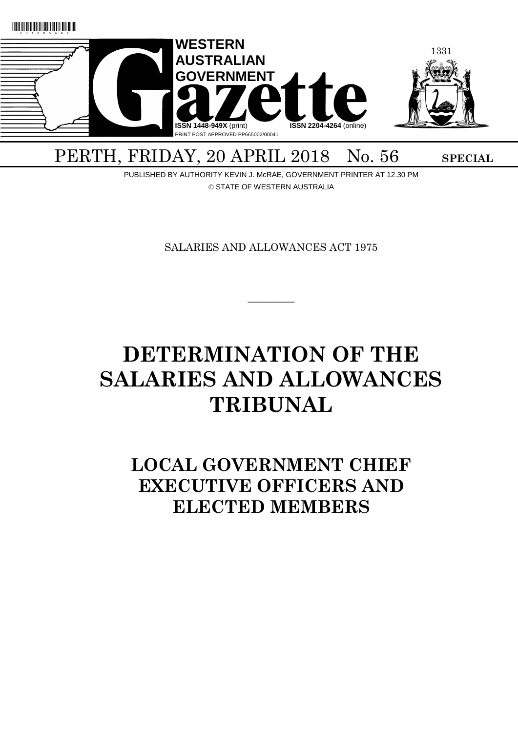

# PERTH, FRIDAY, 20 APRIL 2018 No. 56 SPECIAL

PUBLISHED BY AUTHORITY KEVIN J. McRAE, GOVERNMENT PRINTER AT 12.30 PM © STATE OF WESTERN AUSTRALIA

SALARIES AND ALLOWANCES ACT 1975

 $\overline{\phantom{a}}$ 

# **DETERMINATION OF THE SALARIES AND ALLOWANCES TRIBUNAL**

# **LOCAL GOVERNMENT CHIEF EXECUTIVE OFFICERS AND ELECTED MEMBERS**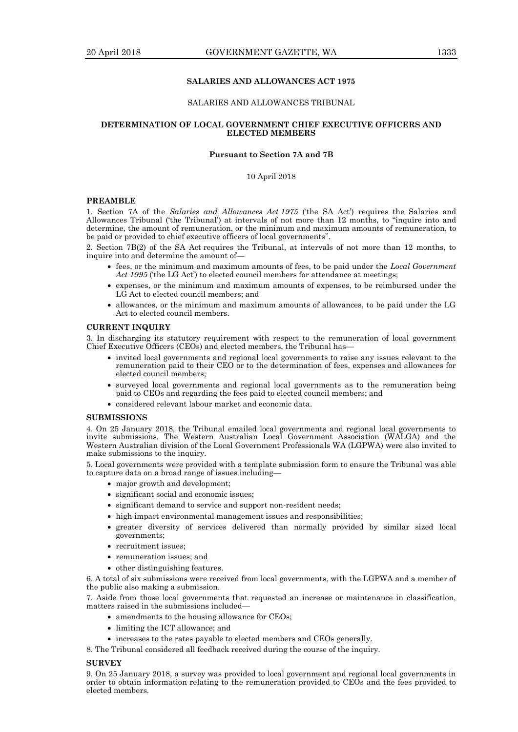# **SALARIES AND ALLOWANCES ACT 1975**

#### SALARIES AND ALLOWANCES TRIBUNAL

#### **DETERMINATION OF LOCAL GOVERNMENT CHIEF EXECUTIVE OFFICERS AND ELECTED MEMBERS**

# **Pursuant to Section 7A and 7B**

# 10 April 2018

#### **PREAMBLE**

1. Section 7A of the *Salaries and Allowances Act 1975* ('the SA Act') requires the Salaries and Allowances Tribunal ('the Tribunal') at intervals of not more than 12 months, to "inquire into and determine, the amount of remuneration, or the minimum and maximum amounts of remuneration, to be paid or provided to chief executive officers of local governments".

2. Section 7B(2) of the SA Act requires the Tribunal, at intervals of not more than 12 months, to inquire into and determine the amount of—

- fees, or the minimum and maximum amounts of fees, to be paid under the *Local Government Act 1995* ('the LG Act') to elected council members for attendance at meetings;
- expenses, or the minimum and maximum amounts of expenses, to be reimbursed under the LG Act to elected council members; and
- allowances, or the minimum and maximum amounts of allowances, to be paid under the LG Act to elected council members.

# **CURRENT INQUIRY**

3. In discharging its statutory requirement with respect to the remuneration of local government Chief Executive Officers (CEOs) and elected members, the Tribunal has—

- invited local governments and regional local governments to raise any issues relevant to the remuneration paid to their CEO or to the determination of fees, expenses and allowances for elected council members;
- surveyed local governments and regional local governments as to the remuneration being paid to CEOs and regarding the fees paid to elected council members; and
- considered relevant labour market and economic data.

#### **SUBMISSIONS**

4. On 25 January 2018, the Tribunal emailed local governments and regional local governments to invite submissions. The Western Australian Local Government Association (WALGA) and the Western Australian division of the Local Government Professionals WA (LGPWA) were also invited to make submissions to the inquiry.

5. Local governments were provided with a template submission form to ensure the Tribunal was able to capture data on a broad range of issues including—

- major growth and development;
- significant social and economic issues;
- significant demand to service and support non-resident needs;
- high impact environmental management issues and responsibilities;
- greater diversity of services delivered than normally provided by similar sized local governments;
- recruitment issues:
- remuneration issues; and
- other distinguishing features.

6. A total of six submissions were received from local governments, with the LGPWA and a member of the public also making a submission.

7. Aside from those local governments that requested an increase or maintenance in classification, matters raised in the submissions included—

- amendments to the housing allowance for CEOs;
- limiting the ICT allowance; and
- increases to the rates payable to elected members and CEOs generally.
- 8. The Tribunal considered all feedback received during the course of the inquiry.

#### **SURVEY**

9. On 25 January 2018, a survey was provided to local government and regional local governments in order to obtain information relating to the remuneration provided to CEOs and the fees provided to elected members.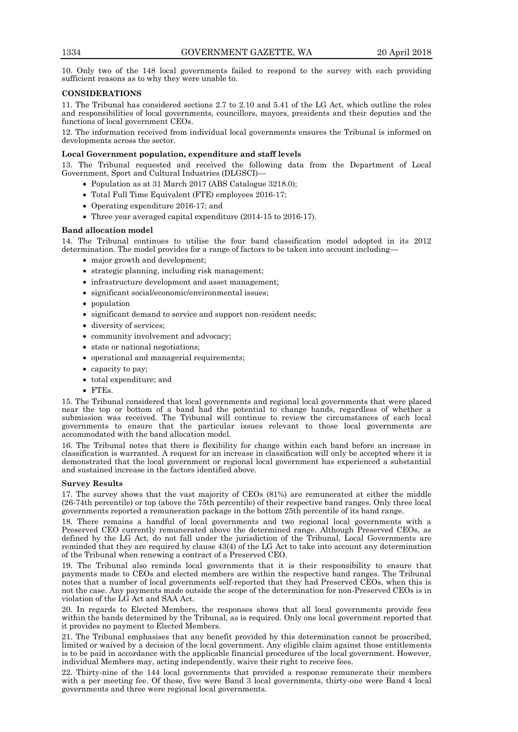10. Only two of the 148 local governments failed to respond to the survey with each providing sufficient reasons as to why they were unable to.

# **CONSIDERATIONS**

11. The Tribunal has considered sections 2.7 to 2.10 and 5.41 of the LG Act, which outline the roles and responsibilities of local governments, councillors, mayors, presidents and their deputies and the functions of local government CEOs.

12. The information received from individual local governments ensures the Tribunal is informed on developments across the sector.

# **Local Government population, expenditure and staff levels**

13. The Tribunal requested and received the following data from the Department of Local Government, Sport and Cultural Industries (DLGSCI)—

- Population as at 31 March 2017 (ABS Catalogue 3218.0);
- Total Full Time Equivalent (FTE) employees 2016-17;
- Operating expenditure 2016-17; and
- Three year averaged capital expenditure (2014-15 to 2016-17).

# **Band allocation model**

14. The Tribunal continues to utilise the four band classification model adopted in its 2012 determination. The model provides for a range of factors to be taken into account including—

- major growth and development;
- strategic planning, including risk management;
- infrastructure development and asset management;
- significant social/economic/environmental issues;
- population
- significant demand to service and support non-resident needs;
- diversity of services;
- community involvement and advocacy;
- state or national negotiations;
- operational and managerial requirements;
- capacity to pay;
- total expenditure; and
- FTEs.

15. The Tribunal considered that local governments and regional local governments that were placed near the top or bottom of a band had the potential to change bands, regardless of whether a submission was received. The Tribunal will continue to review the circumstances of each local governments to ensure that the particular issues relevant to those local governments are accommodated with the band allocation model.

16. The Tribunal notes that there is flexibility for change within each band before an increase in classification is warranted. A request for an increase in classification will only be accepted where it is demonstrated that the local government or regional local government has experienced a substantial and sustained increase in the factors identified above.

# **Survey Results**

17. The survey shows that the vast majority of CEOs (81%) are remunerated at either the middle (26-74th percentile) or top (above the 75th percentile) of their respective band ranges. Only three local governments reported a remuneration package in the bottom 25th percentile of its band range.

18. There remains a handful of local governments and two regional local governments with a Preserved CEO currently remunerated above the determined range. Although Preserved CEOs, as defined by the LG Act*,* do not fall under the jurisdiction of the Tribunal, Local Governments are reminded that they are required by clause 43(4) of the LG Act to take into account any determination of the Tribunal when renewing a contract of a Preserved CEO.

19. The Tribunal also reminds local governments that it is their responsibility to ensure that payments made to CEOs and elected members are within the respective band ranges. The Tribunal notes that a number of local governments self-reported that they had Preserved CEOs, when this is not the case. Any payments made outside the scope of the determination for non-Preserved CEOs is in violation of the LG Act and SAA Act.

20. In regards to Elected Members, the responses shows that all local governments provide fees within the bands determined by the Tribunal, as is required. Only one local government reported that it provides no payment to Elected Members.

21. The Tribunal emphasises that any benefit provided by this determination cannot be proscribed, limited or waived by a decision of the local government. Any eligible claim against those entitlements is to be paid in accordance with the applicable financial procedures of the local government. However, individual Members may, acting independently, waive their right to receive fees.

22. Thirty-nine of the 144 local governments that provided a response remunerate their members with a per meeting fee. Of these, five were Band 3 local governments, thirty-one were Band 4 local governments and three were regional local governments.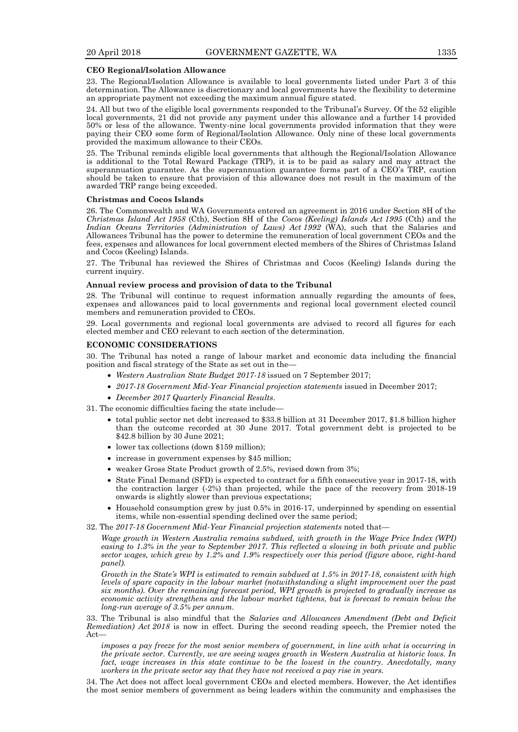#### **CEO Regional/Isolation Allowance**

23. The Regional/Isolation Allowance is available to local governments listed under Part 3 of this determination. The Allowance is discretionary and local governments have the flexibility to determine an appropriate payment not exceeding the maximum annual figure stated.

24. All but two of the eligible local governments responded to the Tribunal's Survey. Of the 52 eligible local governments, 21 did not provide any payment under this allowance and a further 14 provided 50% or less of the allowance. Twenty-nine local governments provided information that they were paying their CEO some form of Regional/Isolation Allowance. Only nine of these local governments provided the maximum allowance to their CEOs.

25. The Tribunal reminds eligible local governments that although the Regional/Isolation Allowance is additional to the Total Reward Package (TRP), it is to be paid as salary and may attract the superannuation guarantee. As the superannuation guarantee forms part of a CEO's TRP, caution should be taken to ensure that provision of this allowance does not result in the maximum of the awarded TRP range being exceeded.

#### **Christmas and Cocos Islands**

26. The Commonwealth and WA Governments entered an agreement in 2016 under Section 8H of the *Christmas Island Act 1958* (Cth), Section 8H of the *Cocos (Keeling) Islands Act 1995* (Cth) and the *Indian Oceans Territories (Administration of Laws) Act 1992* (WA), such that the Salaries and Allowances Tribunal has the power to determine the remuneration of local government CEOs and the fees, expenses and allowances for local government elected members of the Shires of Christmas Island and Cocos (Keeling) Islands.

27. The Tribunal has reviewed the Shires of Christmas and Cocos (Keeling) Islands during the current inquiry.

#### **Annual review process and provision of data to the Tribunal**

28. The Tribunal will continue to request information annually regarding the amounts of fees, expenses and allowances paid to local governments and regional local government elected council members and remuneration provided to  $\text{CEOs.}$ 

29. Local governments and regional local governments are advised to record all figures for each elected member and CEO relevant to each section of the determination.

#### **ECONOMIC CONSIDERATIONS**

30. The Tribunal has noted a range of labour market and economic data including the financial position and fiscal strategy of the State as set out in the—

- *Western Australian State Budget 2017-18* issued on 7 September 2017;
- *2017-18 Government Mid-Year Financial projection statements* issued in December 2017;
- *December 2017 Quarterly Financial Results*.

31. The economic difficulties facing the state include—

- total public sector net debt increased to \$33.8 billion at 31 December 2017, \$1.8 billion higher than the outcome recorded at 30 June 2017. Total government debt is projected to be \$42.8 billion by 30 June 2021;
- lower tax collections (down \$159 million);
- increase in government expenses by \$45 million;
- weaker Gross State Product growth of 2.5%, revised down from 3%;
- State Final Demand (SFD) is expected to contract for a fifth consecutive year in 2017-18, with the contraction larger (-2%) than projected, while the pace of the recovery from 2018-19 onwards is slightly slower than previous expectations;
- Household consumption grew by just 0.5% in 2016-17, underpinned by spending on essential items, while non-essential spending declined over the same period;
- 32. The *2017-18 Government Mid-Year Financial projection statements* noted that—

*Wage growth in Western Australia remains subdued, with growth in the Wage Price Index (WPI) easing to 1.3% in the year to September 2017. This reflected a slowing in both private and public sector wages, which grew by 1.2% and 1.9% respectively over this period (figure above, right-hand panel).*

*Growth in the State's WPI is estimated to remain subdued at 1.5% in 2017-18, consistent with high levels of spare capacity in the labour market (notwithstanding a slight improvement over the past six months). Over the remaining forecast period, WPI growth is projected to gradually increase as economic activity strengthens and the labour market tightens, but is forecast to remain below the long-run average of 3.5% per annum.*

33. The Tribunal is also mindful that the *Salaries and Allowances Amendment (Debt and Deficit Remediation) Act 2018* is now in effect. During the second reading speech, the Premier noted the Act—

*imposes a pay freeze for the most senior members of government, in line with what is occurring in the private sector. Currently, we are seeing wages growth in Western Australia at historic lows. In*  fact, wage increases in this state continue to be the lowest in the country. Anecdotally, many *workers in the private sector say that they have not received a pay rise in years.*

34. The Act does not affect local government CEOs and elected members. However, the Act identifies the most senior members of government as being leaders within the community and emphasises the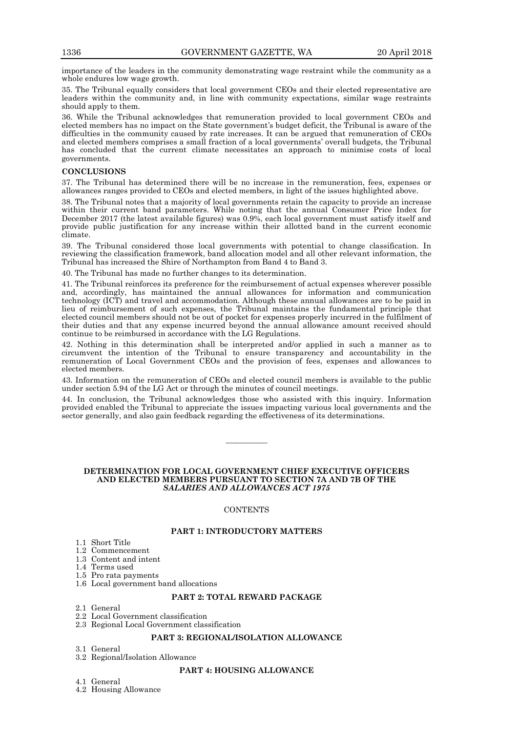importance of the leaders in the community demonstrating wage restraint while the community as a whole endures low wage growth.

35. The Tribunal equally considers that local government CEOs and their elected representative are leaders within the community and, in line with community expectations, similar wage restraints should apply to them.

36. While the Tribunal acknowledges that remuneration provided to local government CEOs and elected members has no impact on the State government's budget deficit, the Tribunal is aware of the difficulties in the community caused by rate increases. It can be argued that remuneration of CEOs and elected members comprises a small fraction of a local governments' overall budgets, the Tribunal has concluded that the current climate necessitates an approach to minimise costs of local governments.

#### **CONCLUSIONS**

37. The Tribunal has determined there will be no increase in the remuneration, fees, expenses or allowances ranges provided to CEOs and elected members, in light of the issues highlighted above.

38. The Tribunal notes that a majority of local governments retain the capacity to provide an increase within their current band parameters. While noting that the annual Consumer Price Index for December 2017 (the latest available figures) was 0.9%, each local government must satisfy itself and provide public justification for any increase within their allotted band in the current economic climate.

39. The Tribunal considered those local governments with potential to change classification. In reviewing the classification framework, band allocation model and all other relevant information, the Tribunal has increased the Shire of Northampton from Band 4 to Band 3.

40. The Tribunal has made no further changes to its determination.

41. The Tribunal reinforces its preference for the reimbursement of actual expenses wherever possible and, accordingly, has maintained the annual allowances for information and communication technology (ICT) and travel and accommodation. Although these annual allowances are to be paid in lieu of reimbursement of such expenses, the Tribunal maintains the fundamental principle that elected council members should not be out of pocket for expenses properly incurred in the fulfilment of their duties and that any expense incurred beyond the annual allowance amount received should continue to be reimbursed in accordance with the LG Regulations.

42. Nothing in this determination shall be interpreted and/or applied in such a manner as to circumvent the intention of the Tribunal to ensure transparency and accountability in the remuneration of Local Government CEOs and the provision of fees, expenses and allowances to elected members.

43. Information on the remuneration of CEOs and elected council members is available to the public under section 5.94 of the LG Act or through the minutes of council meetings.

44. In conclusion, the Tribunal acknowledges those who assisted with this inquiry. Information provided enabled the Tribunal to appreciate the issues impacting various local governments and the sector generally, and also gain feedback regarding the effectiveness of its determinations.

————

#### **DETERMINATION FOR LOCAL GOVERNMENT CHIEF EXECUTIVE OFFICERS AND ELECTED MEMBERS PURSUANT TO SECTION 7A AND 7B OF THE** *SALARIES AND ALLOWANCES ACT 1975*

#### **CONTENTS**

#### **PART 1: INTRODUCTORY MATTERS**

- 1.1 Short Title
- 1.2 Commencement
- 1.3 Content and intent
- 1.4 Terms used
- 1.5 Pro rata payments
- 1.6 Local government band allocations

# **PART 2: TOTAL REWARD PACKAGE**

- 2.1 General
- 2.2 Local Government classification
- 2.3 Regional Local Government classification

# **PART 3: REGIONAL/ISOLATION ALLOWANCE**

- 3.1 General 3.2 Regional/Isolation Allowance
	- **PART 4: HOUSING ALLOWANCE**
- 4.1 General
- 4.2 Housing Allowance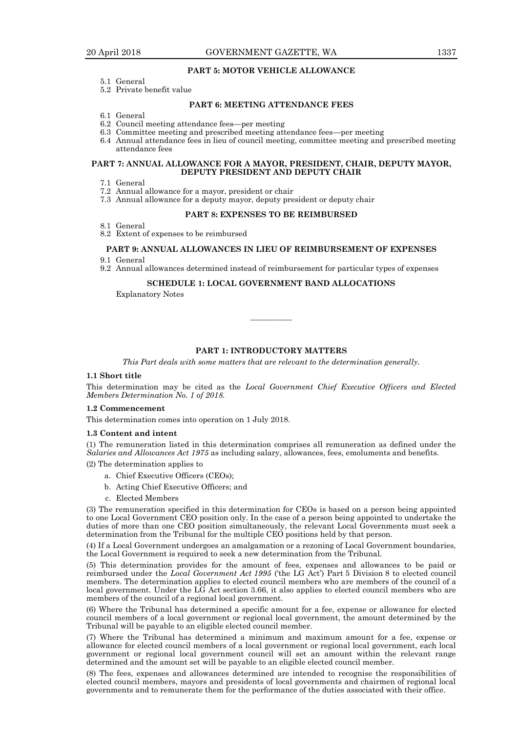# **PART 5: MOTOR VEHICLE ALLOWANCE**

- 5.1 General
- 5.2 Private benefit value

# **PART 6: MEETING ATTENDANCE FEES**

- 6.1 General
- 6.2 Council meeting attendance fees—per meeting
- 6.3 Committee meeting and prescribed meeting attendance fees—per meeting
- 6.4 Annual attendance fees in lieu of council meeting, committee meeting and prescribed meeting attendance fees

#### **PART 7: ANNUAL ALLOWANCE FOR A MAYOR, PRESIDENT, CHAIR, DEPUTY MAYOR, DEPUTY PRESIDENT AND DEPUTY CHAIR**

- 7.1 General
- 7.2 Annual allowance for a mayor, president or chair
- 7.3 Annual allowance for a deputy mayor, deputy president or deputy chair

# **PART 8: EXPENSES TO BE REIMBURSED**

- 8.1 General
- 8.2 Extent of expenses to be reimbursed

# **PART 9: ANNUAL ALLOWANCES IN LIEU OF REIMBURSEMENT OF EXPENSES**

- 9.1 General
- 9.2 Annual allowances determined instead of reimbursement for particular types of expenses

### **SCHEDULE 1: LOCAL GOVERNMENT BAND ALLOCATIONS**

Explanatory Notes

# **PART 1: INTRODUCTORY MATTERS**

————

*This Part deals with some matters that are relevant to the determination generally.*

#### **1.1 Short title**

This determination may be cited as the *Local Government Chief Executive Officers and Elected Members Determination No. 1 of 2018.*

#### **1.2 Commencement**

This determination comes into operation on 1 July 2018.

#### **1.3 Content and intent**

(1) The remuneration listed in this determination comprises all remuneration as defined under the *Salaries and Allowances Act 1975* as including salary, allowances, fees, emoluments and benefits.

(2) The determination applies to

- a. Chief Executive Officers (CEOs);
- b. Acting Chief Executive Officers; and
- c. Elected Members

(3) The remuneration specified in this determination for CEOs is based on a person being appointed to one Local Government CEO position only. In the case of a person being appointed to undertake the duties of more than one CEO position simultaneously, the relevant Local Governments must seek a determination from the Tribunal for the multiple CEO positions held by that person.

(4) If a Local Government undergoes an amalgamation or a rezoning of Local Government boundaries, the Local Government is required to seek a new determination from the Tribunal.

(5) This determination provides for the amount of fees, expenses and allowances to be paid or reimbursed under the *Local Government Act 1995* ('the LG Act') Part 5 Division 8 to elected council members. The determination applies to elected council members who are members of the council of a local government. Under the LG Act section 3.66, it also applies to elected council members who are members of the council of a regional local government.

(6) Where the Tribunal has determined a specific amount for a fee, expense or allowance for elected council members of a local government or regional local government, the amount determined by the Tribunal will be payable to an eligible elected council member.

(7) Where the Tribunal has determined a minimum and maximum amount for a fee, expense or allowance for elected council members of a local government or regional local government, each local government or regional local government council will set an amount within the relevant range determined and the amount set will be payable to an eligible elected council member.

(8) The fees, expenses and allowances determined are intended to recognise the responsibilities of elected council members, mayors and presidents of local governments and chairmen of regional local governments and to remunerate them for the performance of the duties associated with their office.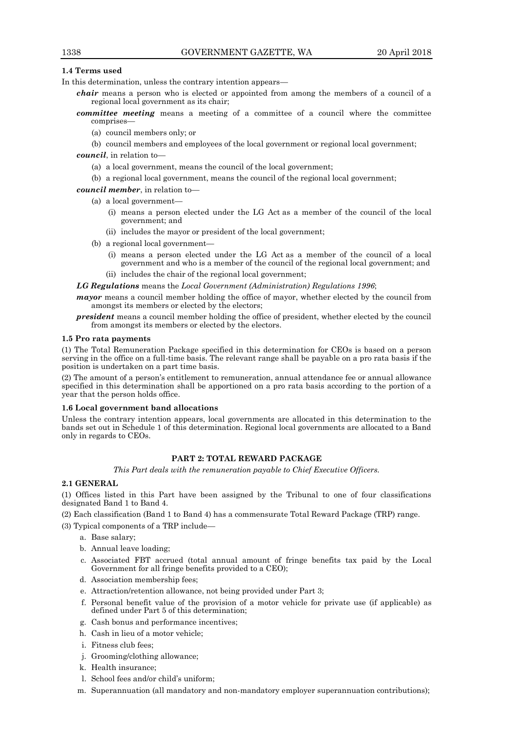# **1.4 Terms used**

In this determination, unless the contrary intention appears—

- *chair* means a person who is elected or appointed from among the members of a council of a regional local government as its chair;
- *committee meeting* means a meeting of a committee of a council where the committee comprises—
	- (a) council members only; or
	- (b) council members and employees of the local government or regional local government;

*council*, in relation to—

- (a) a local government, means the council of the local government;
- (b) a regional local government, means the council of the regional local government;

# *council member*, in relation to—

- (a) a local government—
	- (i) means a person elected under the LG Act as a member of the council of the local government; and
	- (ii) includes the mayor or president of the local government;
- (b) a regional local government—
	- (i) means a person elected under the LG Act as a member of the council of a local government and who is a member of the council of the regional local government; and (ii) includes the chair of the regional local government;
- *LG Regulations* means the *Local Government (Administration) Regulations 1996*;

*mayor* means a council member holding the office of mayor, whether elected by the council from amongst its members or elected by the electors;

*president* means a council member holding the office of president, whether elected by the council from amongst its members or elected by the electors.

#### **1.5 Pro rata payments**

(1) The Total Remuneration Package specified in this determination for CEOs is based on a person serving in the office on a full-time basis. The relevant range shall be payable on a pro rata basis if the position is undertaken on a part time basis.

(2) The amount of a person's entitlement to remuneration, annual attendance fee or annual allowance specified in this determination shall be apportioned on a pro rata basis according to the portion of a year that the person holds office.

#### **1.6 Local government band allocations**

Unless the contrary intention appears, local governments are allocated in this determination to the bands set out in Schedule 1 of this determination. Regional local governments are allocated to a Band only in regards to CEOs.

## **PART 2: TOTAL REWARD PACKAGE**

*This Part deals with the remuneration payable to Chief Executive Officers.*

# **2.1 GENERAL**

(1) Offices listed in this Part have been assigned by the Tribunal to one of four classifications designated Band 1 to Band 4.

(2) Each classification (Band 1 to Band 4) has a commensurate Total Reward Package (TRP) range.

(3) Typical components of a TRP include—

- a. Base salary;
- b. Annual leave loading;
- c. Associated FBT accrued (total annual amount of fringe benefits tax paid by the Local Government for all fringe benefits provided to a CEO);
- d. Association membership fees;
- e. Attraction/retention allowance, not being provided under Part 3;
- f. Personal benefit value of the provision of a motor vehicle for private use (if applicable) as defined under Part 5 of this determination;
- g. Cash bonus and performance incentives;
- h. Cash in lieu of a motor vehicle;
- i. Fitness club fees;
- j. Grooming/clothing allowance;
- k. Health insurance;
- l. School fees and/or child's uniform;
- m. Superannuation (all mandatory and non-mandatory employer superannuation contributions);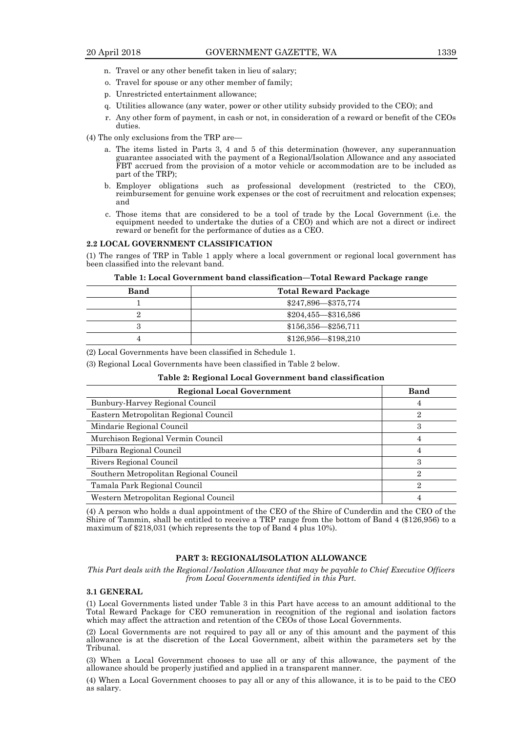- n. Travel or any other benefit taken in lieu of salary;
- o. Travel for spouse or any other member of family;
- p. Unrestricted entertainment allowance;
- q. Utilities allowance (any water, power or other utility subsidy provided to the CEO); and
- r. Any other form of payment, in cash or not, in consideration of a reward or benefit of the CEOs duties.
- (4) The only exclusions from the TRP are
	- a. The items listed in Parts 3, 4 and 5 of this determination (however, any superannuation guarantee associated with the payment of a Regional/Isolation Allowance and any associated FBT accrued from the provision of a motor vehicle or accommodation are to be included as part of the TRP);
	- b. Employer obligations such as professional development (restricted to the CEO), reimbursement for genuine work expenses or the cost of recruitment and relocation expenses; and
	- c. Those items that are considered to be a tool of trade by the Local Government (i.e. the equipment needed to undertake the duties of a CEO) and which are not a direct or indirect reward or benefit for the performance of duties as a CEO.

#### **2.2 LOCAL GOVERNMENT CLASSIFICATION**

(1) The ranges of TRP in Table 1 apply where a local government or regional local government has been classified into the relevant band.

**Table 1: Local Government band classification—Total Reward Package range**

| Band | <b>Total Reward Package</b>     |
|------|---------------------------------|
|      | \$247,896 - \$375,774           |
|      | $$204,455 - $316,586$           |
| 3    | $$156,356 \rightarrow $256,711$ |
|      | $$126,956 - $198,210$           |

(2) Local Governments have been classified in Schedule 1.

(3) Regional Local Governments have been classified in Table 2 below.

#### **Table 2: Regional Local Government band classification**

| <b>Regional Local Government</b>       | <b>Band</b> |
|----------------------------------------|-------------|
| Bunbury-Harvey Regional Council        | 4           |
| Eastern Metropolitan Regional Council  | 2           |
| Mindarie Regional Council              | 3           |
| Murchison Regional Vermin Council      | 4           |
| Pilbara Regional Council               | 4           |
| Rivers Regional Council                | З           |
| Southern Metropolitan Regional Council | 9.          |
| Tamala Park Regional Council           | 9.          |
| Western Metropolitan Regional Council  | 4           |

(4) A person who holds a dual appointment of the CEO of the Shire of Cunderdin and the CEO of the Shire of Tammin, shall be entitled to receive a TRP range from the bottom of Band 4 (\$126,956) to a maximum of \$218,031 (which represents the top of Band 4 plus 10%).

# **PART 3: REGIONAL/ISOLATION ALLOWANCE**

*This Part deals with the Regional/Isolation Allowance that may be payable to Chief Executive Officers from Local Governments identified in this Part.*

#### **3.1 GENERAL**

(1) Local Governments listed under Table 3 in this Part have access to an amount additional to the Total Reward Package for CEO remuneration in recognition of the regional and isolation factors which may affect the attraction and retention of the CEOs of those Local Governments.

(2) Local Governments are not required to pay all or any of this amount and the payment of this allowance is at the discretion of the Local Government, albeit within the parameters set by the Tribunal.

(3) When a Local Government chooses to use all or any of this allowance, the payment of the allowance should be properly justified and applied in a transparent manner.

(4) When a Local Government chooses to pay all or any of this allowance, it is to be paid to the CEO as salary.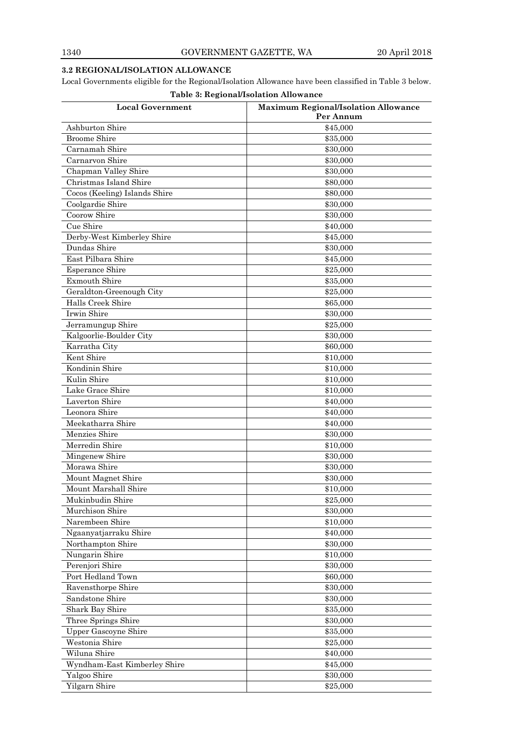# **3.2 REGIONAL/ISOLATION ALLOWANCE**

Local Governments eligible for the Regional/Isolation Allowance have been classified in Table 3 below.

| Table 3: Regional/Isolation Allowance |                                                          |  |  |
|---------------------------------------|----------------------------------------------------------|--|--|
| <b>Local Government</b>               | <b>Maximum Regional/Isolation Allowance</b><br>Per Annum |  |  |
| Ashburton Shire                       | \$45,000                                                 |  |  |
| <b>Broome Shire</b>                   | \$35,000                                                 |  |  |
| Carnamah Shire                        | \$30,000                                                 |  |  |
| Carnarvon Shire                       | \$30,000                                                 |  |  |
| Chapman Valley Shire                  | \$30,000                                                 |  |  |
| Christmas Island Shire                | \$80,000                                                 |  |  |
| Cocos (Keeling) Islands Shire         | \$80,000                                                 |  |  |
| Coolgardie Shire                      | \$30,000                                                 |  |  |
| Coorow Shire                          | \$30,000                                                 |  |  |
| Cue Shire                             | \$40,000                                                 |  |  |
| Derby-West Kimberley Shire            | \$45,000                                                 |  |  |
| Dundas Shire                          | \$30,000                                                 |  |  |
| East Pilbara Shire                    | \$45,000                                                 |  |  |
| <b>Esperance Shire</b>                | \$25,000                                                 |  |  |
| <b>Exmouth Shire</b>                  | \$35,000                                                 |  |  |
| Geraldton-Greenough City              | \$25,000                                                 |  |  |
| Halls Creek Shire                     | \$65,000                                                 |  |  |
| Irwin Shire                           | \$30,000                                                 |  |  |
| Jerramungup Shire                     | \$25,000                                                 |  |  |
| Kalgoorlie-Boulder City               | \$30,000                                                 |  |  |
| Karratha City                         | \$60,000                                                 |  |  |
| Kent Shire                            | \$10,000                                                 |  |  |
| Kondinin Shire                        | \$10,000                                                 |  |  |
| Kulin Shire                           | \$10,000                                                 |  |  |
| Lake Grace Shire                      | \$10,000                                                 |  |  |
| Laverton Shire                        | \$40,000                                                 |  |  |
| Leonora Shire                         | \$40,000                                                 |  |  |
| Meekatharra Shire                     | \$40,000                                                 |  |  |
| Menzies Shire                         | \$30,000                                                 |  |  |
| Merredin Shire                        | \$10,000                                                 |  |  |
| Mingenew Shire                        | \$30,000                                                 |  |  |
| Morawa Shire                          | \$30,000                                                 |  |  |
| Mount Magnet Shire                    | \$30,000                                                 |  |  |
| Mount Marshall Shire                  | \$10,000                                                 |  |  |
| Mukinbudin Shire                      | \$25,000                                                 |  |  |
| Murchison Shire                       | \$30,000                                                 |  |  |
| Narembeen Shire                       | \$10,000                                                 |  |  |
| Ngaanyatjarraku Shire                 | \$40,000                                                 |  |  |
| Northampton Shire                     | \$30,000                                                 |  |  |
| Nungarin Shire                        | \$10,000                                                 |  |  |
| Perenjori Shire                       | \$30,000                                                 |  |  |
| Port Hedland Town                     | \$60,000                                                 |  |  |
| Ravensthorpe Shire                    | \$30,000                                                 |  |  |
| Sandstone Shire                       | \$30,000                                                 |  |  |
| Shark Bay Shire                       | \$35,000                                                 |  |  |
| Three Springs Shire                   | \$30,000                                                 |  |  |
| <b>Upper Gascoyne Shire</b>           | \$35,000                                                 |  |  |
| Westonia Shire                        | \$25,000                                                 |  |  |
| Wiluna Shire                          | \$40,000                                                 |  |  |
| Wyndham-East Kimberley Shire          | \$45,000                                                 |  |  |
| Yalgoo Shire                          | \$30,000                                                 |  |  |
| Yilgarn Shire                         | \$25,000                                                 |  |  |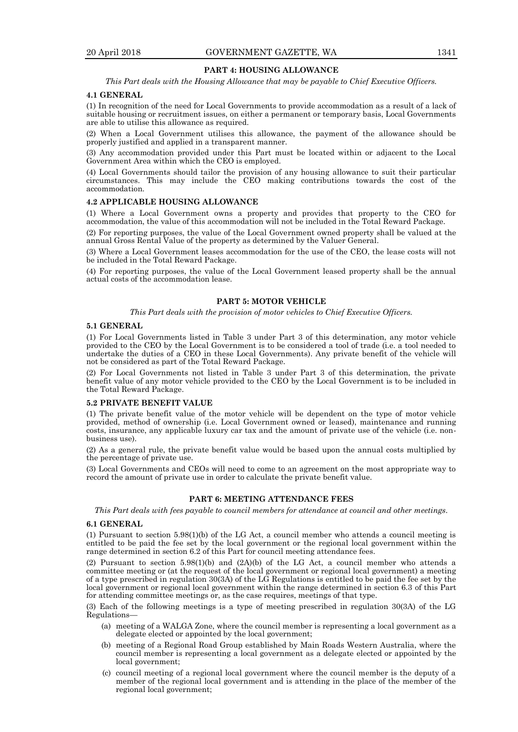# **PART 4: HOUSING ALLOWANCE**

*This Part deals with the Housing Allowance that may be payable to Chief Executive Officers.*

#### **4.1 GENERAL**

(1) In recognition of the need for Local Governments to provide accommodation as a result of a lack of suitable housing or recruitment issues, on either a permanent or temporary basis, Local Governments are able to utilise this allowance as required.

(2) When a Local Government utilises this allowance, the payment of the allowance should be properly justified and applied in a transparent manner.

(3) Any accommodation provided under this Part must be located within or adjacent to the Local Government Area within which the CEO is employed.

(4) Local Governments should tailor the provision of any housing allowance to suit their particular circumstances. This may include the CEO making contributions towards the cost of the accommodation.

#### **4.2 APPLICABLE HOUSING ALLOWANCE**

(1) Where a Local Government owns a property and provides that property to the CEO for accommodation, the value of this accommodation will not be included in the Total Reward Package.

(2) For reporting purposes, the value of the Local Government owned property shall be valued at the annual Gross Rental Value of the property as determined by the Valuer General.

(3) Where a Local Government leases accommodation for the use of the CEO, the lease costs will not be included in the Total Reward Package.

(4) For reporting purposes, the value of the Local Government leased property shall be the annual actual costs of the accommodation lease.

# **PART 5: MOTOR VEHICLE**

*This Part deals with the provision of motor vehicles to Chief Executive Officers.*

#### **5.1 GENERAL**

(1) For Local Governments listed in Table 3 under Part 3 of this determination, any motor vehicle provided to the CEO by the Local Government is to be considered a tool of trade (i.e. a tool needed to undertake the duties of a CEO in these Local Governments). Any private benefit of the vehicle will not be considered as part of the Total Reward Package.

(2) For Local Governments not listed in Table 3 under Part 3 of this determination, the private benefit value of any motor vehicle provided to the CEO by the Local Government is to be included in the Total Reward Package.

#### **5.2 PRIVATE BENEFIT VALUE**

(1) The private benefit value of the motor vehicle will be dependent on the type of motor vehicle provided, method of ownership (i.e. Local Government owned or leased), maintenance and running costs, insurance, any applicable luxury car tax and the amount of private use of the vehicle (i.e. nonbusiness use).

(2) As a general rule, the private benefit value would be based upon the annual costs multiplied by the percentage of private use.

(3) Local Governments and CEOs will need to come to an agreement on the most appropriate way to record the amount of private use in order to calculate the private benefit value.

# **PART 6: MEETING ATTENDANCE FEES**

*This Part deals with fees payable to council members for attendance at council and other meetings.*

#### **6.1 GENERAL**

(1) Pursuant to section 5.98(1)(b) of the LG Act, a council member who attends a council meeting is entitled to be paid the fee set by the local government or the regional local government within the range determined in section 6.2 of this Part for council meeting attendance fees.

(2) Pursuant to section 5.98(1)(b) and (2A)(b) of the LG Act, a council member who attends a committee meeting or (at the request of the local government or regional local government) a meeting of a type prescribed in regulation 30(3A) of the LG Regulations is entitled to be paid the fee set by the local government or regional local government within the range determined in section 6.3 of this Part for attending committee meetings or, as the case requires, meetings of that type.

(3) Each of the following meetings is a type of meeting prescribed in regulation 30(3A) of the LG Regulations—

- (a) meeting of a WALGA Zone, where the council member is representing a local government as a delegate elected or appointed by the local government;
- (b) meeting of a Regional Road Group established by Main Roads Western Australia, where the council member is representing a local government as a delegate elected or appointed by the local government;
- (c) council meeting of a regional local government where the council member is the deputy of a member of the regional local government and is attending in the place of the member of the regional local government;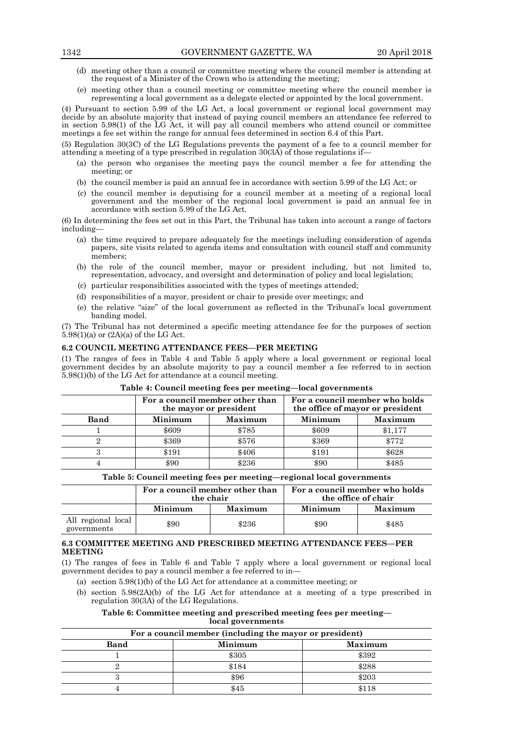- (d) meeting other than a council or committee meeting where the council member is attending at the request of a Minister of the Crown who is attending the meeting;
- (e) meeting other than a council meeting or committee meeting where the council member is representing a local government as a delegate elected or appointed by the local government.

(4) Pursuant to section 5.99 of the LG Act, a local government or regional local government may decide by an absolute majority that instead of paying council members an attendance fee referred to in section 5.98(1) of the LG Act, it will pay all council members who attend council or committee meetings a fee set within the range for annual fees determined in section 6.4 of this Part.

(5) Regulation 30(3C) of the LG Regulations prevents the payment of a fee to a council member for attending a meeting of a type prescribed in regulation  $30(3\text{\AA})$  of those regulations if—

- (a) the person who organises the meeting pays the council member a fee for attending the meeting; or
- (b) the council member is paid an annual fee in accordance with section 5.99 of the LG Act; or
- (c) the council member is deputising for a council member at a meeting of a regional local government and the member of the regional local government is paid an annual fee in accordance with section 5.99 of the LG Act.

(6) In determining the fees set out in this Part, the Tribunal has taken into account a range of factors including—

- (a) the time required to prepare adequately for the meetings including consideration of agenda papers, site visits related to agenda items and consultation with council staff and community members;
- (b) the role of the council member, mayor or president including, but not limited to, representation, advocacy, and oversight and determination of policy and local legislation;
- (c) particular responsibilities associated with the types of meetings attended;
- (d) responsibilities of a mayor, president or chair to preside over meetings; and
- (e) the relative "size" of the local government as reflected in the Tribunal's local government banding model.

(7) The Tribunal has not determined a specific meeting attendance fee for the purposes of section  $5.98(1)(a)$  or  $(2A)(a)$  of the LG Act.

# **6.2 COUNCIL MEETING ATTENDANCE FEES—PER MEETING**

(1) The ranges of fees in Table 4 and Table 5 apply where a local government or regional local government decides by an absolute majority to pay a council member a fee referred to in section 5.98(1)(b) of the LG Act for attendance at a council meeting.

|             | For a council member other than<br>the mayor or president |         |         | For a council member who holds<br>the office of mayor or president |
|-------------|-----------------------------------------------------------|---------|---------|--------------------------------------------------------------------|
| <b>Band</b> | Minimum                                                   | Maximum | Minimum | Maximum                                                            |
|             | \$609                                                     | \$785   | \$609   | \$1,177                                                            |
|             | \$369                                                     | \$576   | \$369   | \$772                                                              |
|             | \$191                                                     | \$406   | \$191   | \$628                                                              |
|             | \$90                                                      | \$236   | \$90    | \$485                                                              |

#### **Table 4: Council meeting fees per meeting—local governments**

#### **Table 5: Council meeting fees per meeting—regional local governments**

|                                   | For a council member other than<br>the chair |                | For a council member who holds<br>the office of chair |         |
|-----------------------------------|----------------------------------------------|----------------|-------------------------------------------------------|---------|
|                                   | Minimum                                      | <b>Maximum</b> | Minimum                                               | Maximum |
| All regional local<br>governments | \$90                                         | \$236          | \$90                                                  | \$485   |

# **6.3 COMMITTEE MEETING AND PRESCRIBED MEETING ATTENDANCE FEES—PER MEETING**

(1) The ranges of fees in Table 6 and Table 7 apply where a local government or regional local government decides to pay a council member a fee referred to in—

- (a) section 5.98(1)(b) of the LG Act for attendance at a committee meeting; or
- (b) section 5.98(2A)(b) of the LG Act for attendance at a meeting of a type prescribed in regulation 30(3A) of the LG Regulations.

**Table 6: Committee meeting and prescribed meeting fees per meeting local governments**

| For a council member (including the mayor or president) |         |         |  |
|---------------------------------------------------------|---------|---------|--|
| <b>Band</b>                                             | Minimum | Maximum |  |
|                                                         | \$305   | \$392   |  |
|                                                         | \$184   | \$288   |  |
|                                                         | \$96    | \$203   |  |
|                                                         |         |         |  |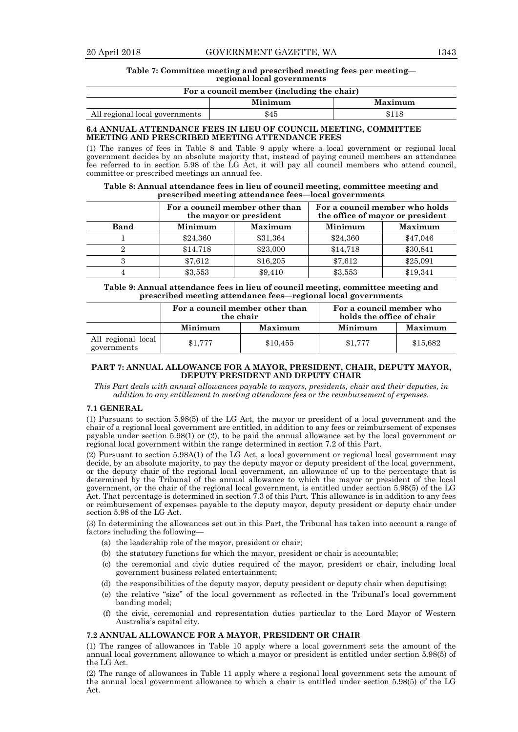#### **Table 7: Committee meeting and prescribed meeting fees per meeting regional local governments**

# **For a council member (including the chair)**

|                                | Minimum | Maximum |
|--------------------------------|---------|---------|
| All regional local governments | \$45    |         |

# **6.4 ANNUAL ATTENDANCE FEES IN LIEU OF COUNCIL MEETING, COMMITTEE MEETING AND PRESCRIBED MEETING ATTENDANCE FEES**

(1) The ranges of fees in Table 8 and Table 9 apply where a local government or regional local government decides by an absolute majority that, instead of paying council members an attendance fee referred to in section 5.98 of the LG Act, it will pay all council members who attend council, committee or prescribed meetings an annual fee.

| Table 8: Annual attendance fees in lieu of council meeting, committee meeting and |
|-----------------------------------------------------------------------------------|
| prescribed meeting attendance fees—local governments                              |

|             | For a council member other than<br>the mayor or president |                |          | For a council member who holds<br>the office of mayor or president |
|-------------|-----------------------------------------------------------|----------------|----------|--------------------------------------------------------------------|
| <b>Band</b> | Minimum                                                   | <b>Maximum</b> | Minimum  | Maximum                                                            |
|             | \$24,360                                                  | \$31,364       | \$24,360 | \$47,046                                                           |
|             | \$14,718                                                  | \$23,000       | \$14,718 | \$30,841                                                           |
|             | \$7,612                                                   | \$16,205       | \$7,612  | \$25,091                                                           |
|             | \$3,553                                                   | \$9,410        | \$3,553  | \$19,341                                                           |

#### **Table 9: Annual attendance fees in lieu of council meeting, committee meeting and prescribed meeting attendance fees—regional local governments**

|                                   | For a council member other than<br>the chair |                | For a council member who<br>holds the office of chair |          |
|-----------------------------------|----------------------------------------------|----------------|-------------------------------------------------------|----------|
|                                   | Minimum                                      | <b>Maximum</b> | Minimum                                               | Maximum  |
| All regional local<br>governments | \$1.777                                      | \$10,455       | \$1,777                                               | \$15,682 |

# **PART 7: ANNUAL ALLOWANCE FOR A MAYOR, PRESIDENT, CHAIR, DEPUTY MAYOR, DEPUTY PRESIDENT AND DEPUTY CHAIR**

*This Part deals with annual allowances payable to mayors, presidents, chair and their deputies, in addition to any entitlement to meeting attendance fees or the reimbursement of expenses.*

#### **7.1 GENERAL**

(1) Pursuant to section 5.98(5) of the LG Act, the mayor or president of a local government and the chair of a regional local government are entitled, in addition to any fees or reimbursement of expenses payable under section 5.98(1) or (2), to be paid the annual allowance set by the local government or regional local government within the range determined in section 7.2 of this Part.

(2) Pursuant to section 5.98A(1) of the LG Act, a local government or regional local government may decide, by an absolute majority, to pay the deputy mayor or deputy president of the local government, or the deputy chair of the regional local government, an allowance of up to the percentage that is determined by the Tribunal of the annual allowance to which the mayor or president of the local government, or the chair of the regional local government, is entitled under section 5.98(5) of the LG Act. That percentage is determined in section 7.3 of this Part. This allowance is in addition to any fees or reimbursement of expenses payable to the deputy mayor, deputy president or deputy chair under section 5.98 of the LG Act.

(3) In determining the allowances set out in this Part, the Tribunal has taken into account a range of factors including the following—

- (a) the leadership role of the mayor, president or chair;
- (b) the statutory functions for which the mayor, president or chair is accountable;
- (c) the ceremonial and civic duties required of the mayor, president or chair, including local government business related entertainment;
- (d) the responsibilities of the deputy mayor, deputy president or deputy chair when deputising;
- (e) the relative "size" of the local government as reflected in the Tribunal's local government banding model;
- (f) the civic, ceremonial and representation duties particular to the Lord Mayor of Western Australia's capital city.

#### **7.2 ANNUAL ALLOWANCE FOR A MAYOR, PRESIDENT OR CHAIR**

(1) The ranges of allowances in Table 10 apply where a local government sets the amount of the annual local government allowance to which a mayor or president is entitled under section 5.98(5) of the LG Act.

(2) The range of allowances in Table 11 apply where a regional local government sets the amount of the annual local government allowance to which a chair is entitled under section 5.98(5) of the LG Act.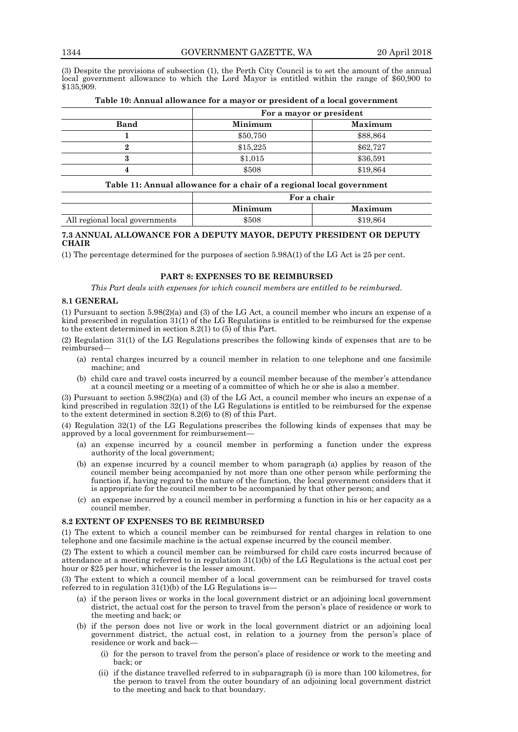(3) Despite the provisions of subsection (1), the Perth City Council is to set the amount of the annual local government allowance to which the Lord Mayor is entitled within the range of \$60,900 to \$135,909.

|             | For a mayor or president |          |  |
|-------------|--------------------------|----------|--|
| <b>Band</b> | Maximum<br>Minimum       |          |  |
|             | \$50,750                 | \$88,864 |  |
|             | \$15,225                 | \$62,727 |  |
|             | \$1,015                  | \$36,591 |  |
|             | \$508                    | \$19,864 |  |

# **Table 10: Annual allowance for a mayor or president of a local government**

# **Table 11: Annual allowance for a chair of a regional local government**

|                                | For a chair |          |  |
|--------------------------------|-------------|----------|--|
|                                | Minimum     | Maximum  |  |
| All regional local governments | \$508       | \$19.864 |  |

# **7.3 ANNUAL ALLOWANCE FOR A DEPUTY MAYOR, DEPUTY PRESIDENT OR DEPUTY CHAIR**

(1) The percentage determined for the purposes of section 5.98A(1) of the LG Act is 25 per cent.

# **PART 8: EXPENSES TO BE REIMBURSED**

*This Part deals with expenses for which council members are entitled to be reimbursed.*

# **8.1 GENERAL**

(1) Pursuant to section 5.98(2)(a) and (3) of the LG Act, a council member who incurs an expense of a kind prescribed in regulation 31(1) of the LG Regulations is entitled to be reimbursed for the expense to the extent determined in section 8.2(1) to (5) of this Part.

(2) Regulation 31(1) of the LG Regulations prescribes the following kinds of expenses that are to be reimbursed—

- (a) rental charges incurred by a council member in relation to one telephone and one facsimile machine; and
- (b) child care and travel costs incurred by a council member because of the member's attendance at a council meeting or a meeting of a committee of which he or she is also a member.

(3) Pursuant to section 5.98(2)(a) and (3) of the LG Act, a council member who incurs an expense of a kind prescribed in regulation 32(1) of the LG Regulations is entitled to be reimbursed for the expense to the extent determined in section 8.2(6) to (8) of this Part.

(4) Regulation 32(1) of the LG Regulations prescribes the following kinds of expenses that may be approved by a local government for reimbursement—

- (a) an expense incurred by a council member in performing a function under the express authority of the local government;
- (b) an expense incurred by a council member to whom paragraph (a) applies by reason of the council member being accompanied by not more than one other person while performing the function if, having regard to the nature of the function, the local government considers that it is appropriate for the council member to be accompanied by that other person; and
- (c) an expense incurred by a council member in performing a function in his or her capacity as a council member.

# **8.2 EXTENT OF EXPENSES TO BE REIMBURSED**

(1) The extent to which a council member can be reimbursed for rental charges in relation to one telephone and one facsimile machine is the actual expense incurred by the council member.

(2) The extent to which a council member can be reimbursed for child care costs incurred because of attendance at a meeting referred to in regulation 31(1)(b) of the LG Regulations is the actual cost per hour or \$25 per hour, whichever is the lesser amount.

(3) The extent to which a council member of a local government can be reimbursed for travel costs referred to in regulation  $31(1)(b)$  of the LG Regulations is-

- (a) if the person lives or works in the local government district or an adjoining local government district, the actual cost for the person to travel from the person's place of residence or work to the meeting and back; or
- (b) if the person does not live or work in the local government district or an adjoining local government district, the actual cost, in relation to a journey from the person's place of residence or work and back—
	- (i) for the person to travel from the person's place of residence or work to the meeting and back; or
	- (ii) if the distance travelled referred to in subparagraph (i) is more than 100 kilometres, for the person to travel from the outer boundary of an adjoining local government district to the meeting and back to that boundary.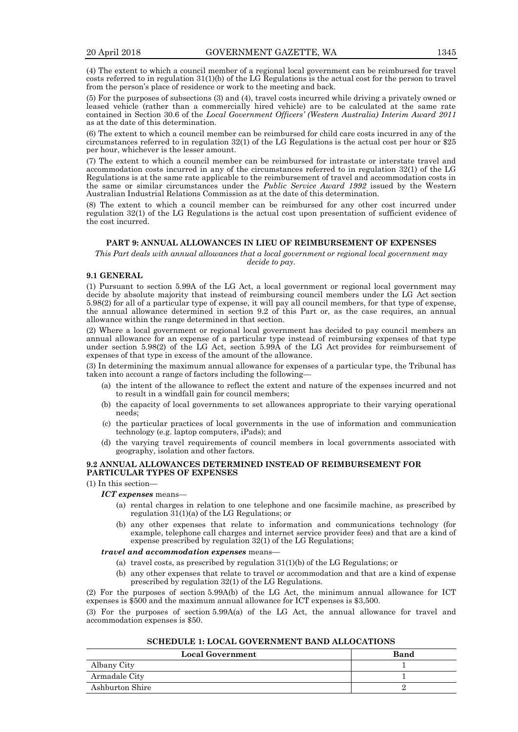(4) The extent to which a council member of a regional local government can be reimbursed for travel costs referred to in regulation  $31(1)(b)$  of the LG Regulations is the actual cost for the person to travel from the person's place of residence or work to the meeting and back.

(5) For the purposes of subsections (3) and (4), travel costs incurred while driving a privately owned or leased vehicle (rather than a commercially hired vehicle) are to be calculated at the same rate contained in Section 30.6 of the *Local Government Officers' (Western Australia) Interim Award 2011* as at the date of this determination.

(6) The extent to which a council member can be reimbursed for child care costs incurred in any of the circumstances referred to in regulation 32(1) of the LG Regulations is the actual cost per hour or \$25 per hour, whichever is the lesser amount.

(7) The extent to which a council member can be reimbursed for intrastate or interstate travel and accommodation costs incurred in any of the circumstances referred to in regulation 32(1) of the LG Regulations is at the same rate applicable to the reimbursement of travel and accommodation costs in the same or similar circumstances under the *Public Service Award 1992* issued by the Western Australian Industrial Relations Commission as at the date of this determination.

(8) The extent to which a council member can be reimbursed for any other cost incurred under regulation 32(1) of the LG Regulations is the actual cost upon presentation of sufficient evidence of the cost incurred.

# **PART 9: ANNUAL ALLOWANCES IN LIEU OF REIMBURSEMENT OF EXPENSES**

*This Part deals with annual allowances that a local government or regional local government may decide to pay.*

### **9.1 GENERAL**

(1) Pursuant to section 5.99A of the LG Act, a local government or regional local government may decide by absolute majority that instead of reimbursing council members under the LG Act section 5.98(2) for all of a particular type of expense, it will pay all council members, for that type of expense, the annual allowance determined in section 9.2 of this Part or, as the case requires, an annual allowance within the range determined in that section.

(2) Where a local government or regional local government has decided to pay council members an annual allowance for an expense of a particular type instead of reimbursing expenses of that type under section 5.98(2) of the LG Act, section 5.99A of the LG Act provides for reimbursement of expenses of that type in excess of the amount of the allowance.

(3) In determining the maximum annual allowance for expenses of a particular type, the Tribunal has taken into account a range of factors including the following—

- (a) the intent of the allowance to reflect the extent and nature of the expenses incurred and not to result in a windfall gain for council members;
- (b) the capacity of local governments to set allowances appropriate to their varying operational needs;
- (c) the particular practices of local governments in the use of information and communication technology (e.g. laptop computers, iPads); and
- (d) the varying travel requirements of council members in local governments associated with geography, isolation and other factors.

# **9.2 ANNUAL ALLOWANCES DETERMINED INSTEAD OF REIMBURSEMENT FOR PARTICULAR TYPES OF EXPENSES**

(1) In this section—

*ICT expenses* means—

- (a) rental charges in relation to one telephone and one facsimile machine, as prescribed by regulation 31(1)(a) of the LG Regulations; or
- (b) any other expenses that relate to information and communications technology (for example, telephone call charges and internet service provider fees) and that are a kind of expense prescribed by regulation 32(1) of the LG Regulations;

#### *travel and accommodation expenses* means—

- (a) travel costs, as prescribed by regulation 31(1)(b) of the LG Regulations; or
- (b) any other expenses that relate to travel or accommodation and that are a kind of expense prescribed by regulation 32(1) of the LG Regulations.

(2) For the purposes of section 5.99A(b) of the LG Act, the minimum annual allowance for ICT expenses is \$500 and the maximum annual allowance for ICT expenses is \$3,500.

(3) For the purposes of section 5.99A(a) of the LG Act, the annual allowance for travel and accommodation expenses is \$50.

#### **SCHEDULE 1: LOCAL GOVERNMENT BAND ALLOCATIONS**

| <b>Local Government</b> | Band |
|-------------------------|------|
| Albany City             |      |
| Armadale City           |      |
| Ashburton Shire         |      |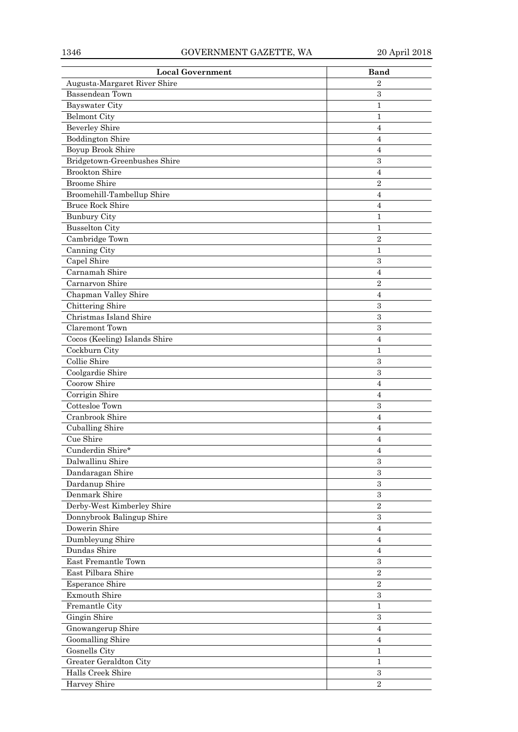| <b>Local Government</b>                 | <b>Band</b>       |
|-----------------------------------------|-------------------|
| Augusta-Margaret River Shire            | $\overline{2}$    |
| Bassendean Town                         | $\,3$             |
| Bayswater City                          | $\mathbf{1}$      |
| <b>Belmont City</b>                     | 1                 |
| <b>Beverley Shire</b>                   | $\overline{4}$    |
| <b>Boddington Shire</b>                 | $\overline{4}$    |
| Boyup Brook Shire                       | 4                 |
| Bridgetown-Greenbushes Shire            | $\sqrt{3}$        |
| <b>Brookton Shire</b>                   | $\overline{4}$    |
| <b>Broome Shire</b>                     | $\overline{2}$    |
| Broomehill-Tambellup Shire              | $\overline{4}$    |
| <b>Bruce Rock Shire</b>                 | 4                 |
| <b>Bunbury City</b>                     | 1                 |
| <b>Busselton City</b>                   | 1                 |
| Cambridge Town                          | $\overline{2}$    |
| Canning City                            | 1                 |
| Capel Shire                             | 3                 |
| Carnamah Shire                          | 4                 |
| Carnarvon Shire                         | $\overline{2}$    |
| Chapman Valley Shire                    | $\overline{4}$    |
| Chittering Shire                        | $\sqrt{3}$        |
| Christmas Island Shire                  | $\sqrt{3}$        |
| Claremont Town                          | $\sqrt{3}$        |
| Cocos (Keeling) Islands Shire           | $\overline{4}$    |
| Cockburn City                           | $\mathbf{1}$      |
| Collie Shire                            | $\,3$             |
| Coolgardie Shire                        | $\sqrt{3}$        |
| Coorow Shire                            | $\overline{4}$    |
| Corrigin Shire                          | $\overline{4}$    |
| Cottesloe Town                          | $\sqrt{3}$        |
| Cranbrook Shire                         | $\overline{4}$    |
| <b>Cuballing Shire</b>                  | $\overline{4}$    |
| Cue Shire                               | 4                 |
| Cunderdin Shire*                        | $\overline{4}$    |
| Dalwallinu Shire                        | $\,3$             |
| Dandaragan Shire                        | 3                 |
| Dardanup Shire                          | $\sqrt{3}$        |
| Denmark Shire                           | 3                 |
| Derby-West Kimberley Shire              | $\overline{2}$    |
| Donnybrook Balingup Shire               | $\,3$             |
| Dowerin Shire                           | $\overline{4}$    |
| Dumbleyung Shire                        | $\overline{4}$    |
| Dundas Shire                            | 4                 |
| East Fremantle Town                     | $\sqrt{3}$        |
| East Pilbara Shire                      | $\sqrt{2}$        |
| Esperance Shire                         | $\sqrt{2}$        |
| Exmouth Shire                           | 3                 |
| Fremantle City                          | $\mathbf{1}$      |
| Gingin Shire                            | 3                 |
| Gnowangerup Shire                       | 4                 |
| <b>Goomalling Shire</b>                 | $\overline{4}$    |
|                                         |                   |
| Gosnells City<br>Greater Geraldton City | 1<br>$\mathbf{1}$ |
| Halls Creek Shire                       | $\,3$             |
|                                         |                   |
| Harvey Shire                            | $\sqrt{2}$        |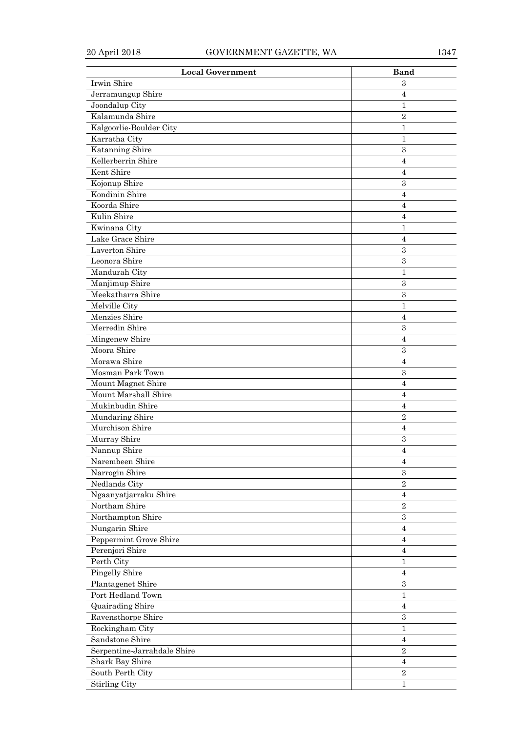| <b>Local Government</b>     | <b>Band</b>         |
|-----------------------------|---------------------|
| Irwin Shire                 | 3                   |
| Jerramungup Shire           | 4                   |
| Joondalup City              | 1                   |
| Kalamunda Shire             | $\overline{2}$      |
| Kalgoorlie-Boulder City     | 1                   |
| Karratha City               | $\mathbf{1}$        |
| Katanning Shire             | 3                   |
| Kellerberrin Shire          | 4                   |
| Kent Shire                  | 4                   |
| Kojonup Shire               | 3                   |
| Kondinin Shire              | 4                   |
| Koorda Shire                | $\overline{4}$      |
| Kulin Shire                 | $\overline{4}$      |
| Kwinana City                | 1                   |
| Lake Grace Shire            | 4                   |
| Laverton Shire              | 3                   |
| Leonora Shire               | 3                   |
| Mandurah City               | 1                   |
| Manjimup Shire              | 3                   |
| Meekatharra Shire           | 3                   |
| Melville City               | 1                   |
| Menzies Shire               | 4                   |
| Merredin Shire              | 3                   |
| Mingenew Shire              | 4                   |
| Moora Shire                 | 3                   |
| Morawa Shire                | 4                   |
| Mosman Park Town            | 3                   |
| Mount Magnet Shire          | $\overline{4}$      |
| Mount Marshall Shire        | 4                   |
| Mukinbudin Shire            | 4                   |
| Mundaring Shire             | $\,2$               |
| Murchison Shire             | $\overline{4}$      |
| Murray Shire                | $\boldsymbol{3}$    |
| Nannup Shire                | 4                   |
| Narembeen Shire             | $\overline{4}$      |
| Narrogin Shire              | 3                   |
| Nedlands City               | $\overline{2}$      |
| Ngaanyatjarraku Shire       | 4                   |
| Northam Shire               | $\sqrt{2}$          |
| Northampton Shire           | 3                   |
| Nungarin Shire              | 4                   |
| Peppermint Grove Shire      | $\overline{4}$      |
| Perenjori Shire             | $\overline{4}$      |
| Perth City                  | $\mathbf 1$         |
| Pingelly Shire              | $\overline{4}$      |
| Plantagenet Shire           | $\boldsymbol{3}$    |
| Port Hedland Town           |                     |
|                             | 1<br>$\overline{4}$ |
| Quairading Shire            |                     |
| Ravensthorpe Shire          | $\boldsymbol{3}$    |
| Rockingham City             | $\mathbf 1$         |
| Sandstone Shire             | 4                   |
| Serpentine-Jarrahdale Shire | $\overline{2}$      |
| Shark Bay Shire             | $\overline{4}$      |
| South Perth City            | $\overline{2}$      |
| <b>Stirling City</b>        | $\mathbf{1}$        |